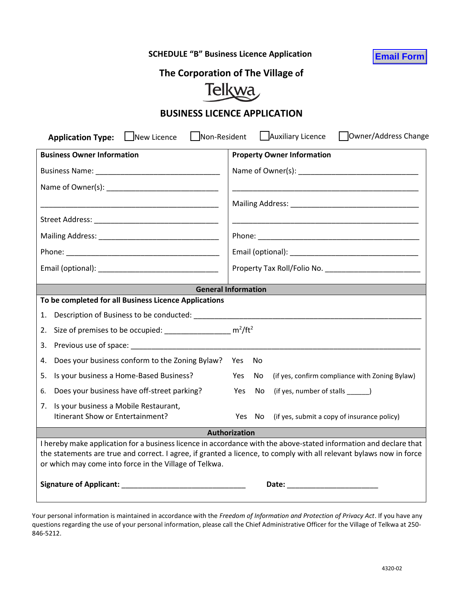#### **SCHEDULE "B" Business Licence Application**

**Email Form**

# **The Corporation of The Village of**



### **BUSINESS LICENCE APPLICATION**

| Non-Resident<br>New Licence<br><b>Application Type:</b>                                                                                                                                                                                                                                            |                                   |        | Owner/Address Change<br>Auxiliary Licence      |  |  |  |  |  |  |  |  |
|----------------------------------------------------------------------------------------------------------------------------------------------------------------------------------------------------------------------------------------------------------------------------------------------------|-----------------------------------|--------|------------------------------------------------|--|--|--|--|--|--|--|--|
| <b>Business Owner Information</b>                                                                                                                                                                                                                                                                  | <b>Property Owner Information</b> |        |                                                |  |  |  |  |  |  |  |  |
|                                                                                                                                                                                                                                                                                                    |                                   |        |                                                |  |  |  |  |  |  |  |  |
|                                                                                                                                                                                                                                                                                                    |                                   |        |                                                |  |  |  |  |  |  |  |  |
|                                                                                                                                                                                                                                                                                                    |                                   |        |                                                |  |  |  |  |  |  |  |  |
|                                                                                                                                                                                                                                                                                                    |                                   |        |                                                |  |  |  |  |  |  |  |  |
|                                                                                                                                                                                                                                                                                                    |                                   |        |                                                |  |  |  |  |  |  |  |  |
|                                                                                                                                                                                                                                                                                                    |                                   |        |                                                |  |  |  |  |  |  |  |  |
|                                                                                                                                                                                                                                                                                                    |                                   |        |                                                |  |  |  |  |  |  |  |  |
| <b>General Information</b>                                                                                                                                                                                                                                                                         |                                   |        |                                                |  |  |  |  |  |  |  |  |
| To be completed for all Business Licence Applications                                                                                                                                                                                                                                              |                                   |        |                                                |  |  |  |  |  |  |  |  |
| Description of Business to be conducted: Description of Business to be conducted:<br>1.                                                                                                                                                                                                            |                                   |        |                                                |  |  |  |  |  |  |  |  |
| Size of premises to be occupied: _________________ m <sup>2</sup> /ft <sup>2</sup><br>2.                                                                                                                                                                                                           |                                   |        |                                                |  |  |  |  |  |  |  |  |
| 3.                                                                                                                                                                                                                                                                                                 |                                   |        |                                                |  |  |  |  |  |  |  |  |
| Does your business conform to the Zoning Bylaw?<br>4.                                                                                                                                                                                                                                              | <b>Yes</b>                        | No     |                                                |  |  |  |  |  |  |  |  |
| Is your business a Home-Based Business?<br>5.                                                                                                                                                                                                                                                      | Yes                               | No     | (if yes, confirm compliance with Zoning Bylaw) |  |  |  |  |  |  |  |  |
| Does your business have off-street parking?<br>6.                                                                                                                                                                                                                                                  | Yes                               | No     | (if yes, number of stalls ______)              |  |  |  |  |  |  |  |  |
| Is your business a Mobile Restaurant,<br>7.<br>Itinerant Show or Entertainment?                                                                                                                                                                                                                    |                                   | Yes No | (if yes, submit a copy of insurance policy)    |  |  |  |  |  |  |  |  |
|                                                                                                                                                                                                                                                                                                    | Authorization                     |        |                                                |  |  |  |  |  |  |  |  |
| I hereby make application for a business licence in accordance with the above-stated information and declare that<br>the statements are true and correct. I agree, if granted a licence, to comply with all relevant bylaws now in force<br>or which may come into force in the Village of Telkwa. |                                   |        |                                                |  |  |  |  |  |  |  |  |
| Signature of Applicant: National Action of Applicant:                                                                                                                                                                                                                                              |                                   |        | Date: _________________________                |  |  |  |  |  |  |  |  |
|                                                                                                                                                                                                                                                                                                    |                                   |        |                                                |  |  |  |  |  |  |  |  |

Your personal information is maintained in accordance with the *Freedom of Information and Protection of Privacy Act*. If you have any questions regarding the use of your personal information, please call the Chief Administrative Officer for the Village of Telkwa at 250- 846-5212.